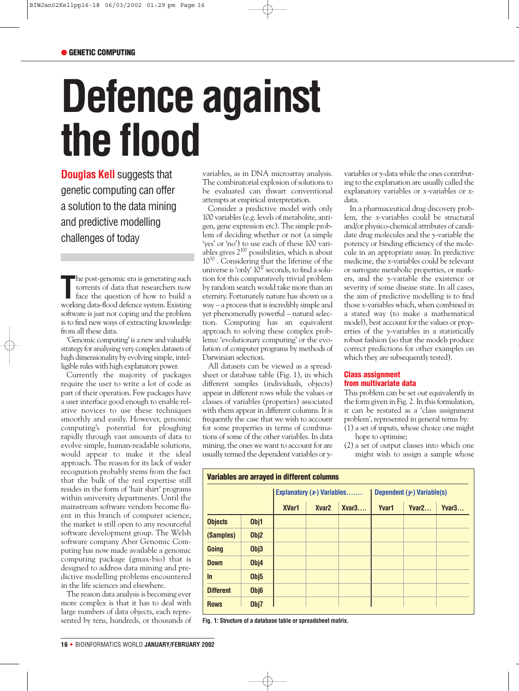## ● **GENETIC COMPUTING**

# **Defence against the flood**

**Douglas Kell** suggests that genetic computing can offer a solution to the data mining and predictive modelling challenges of today

The post-genomic era is generating such torrents of data that researchers now face the question of how to build a working data-flood defence system. Existing he post-genomic era is generating such torrents of data that researchers now face the question of how to build a software is just not coping and the problem is to find new ways of extracting knowledge from all these data.

'Genomic computing' is a new and valuable strategy for analysing very complex datasets of high dimensionality by evolving simple, intelligible rules with high explanatory power.

Currently the majority of packages require the user to write a lot of code as part of their operation. Few packages have a user interface good enough to enable relative novices to use these techniques smoothly and easily. However, genomic computing's potential for ploughing rapidly through vast amounts of data to evolve simple, human-readable solutions, would appear to make it the ideal approach. The reason for its lack of wider recognition probably stems from the fact that the bulk of the real expertise still resides in the form of 'hair shirt' programs within university departments. Until the mainstream software vendors become fluent in this branch of computer science, the market is still open to any resourceful software development group. The Welsh software company Aber Genomic Computing has now made available a genomic computing package (gmax-bio) that is designed to address data mining and predictive modelling problems encountered in the life sciences and elsewhere.

The reason data analysis is becoming ever more complex is that it has to deal with large numbers of data objects, each represented by tens, hundreds, or thousands of variables, as in DNA microarray analysis. The combinatorial explosion of solutions to be evaluated can thwart conventional attempts at empirical interpretation.

Consider a predictive model with only 100 variables (e.g. levels of metabolite, antigen, gene expression etc). The simple problem of deciding whether or not (a simple 'yes' or 'no') to use each of these 100 variables gives  $2^{100}$  possibilities, which is about 1030 . Considering that the lifetime of the universe is 'only'  $10^{17}$  seconds, to find a solution for this comparatively trivial problem by random search would take more than an eternity. Fortunately nature has shown us a way – a process that is incredibly simple and yet phenomenally powerful – natural selection. Computing has an equivalent approach to solving these complex problems: 'evolutionary computing' or the evolution of computer programs by methods of Darwinian selection.

All datasets can be viewed as a spreadsheet or database table (Fig. 1), in which different samples (individuals, objects) appear in different rows while the values or classes of variables (properties) associated with them appear in different columns. It is frequently the case that we wish to account for some properties in terms of combinations of some of the other variables. In data mining, the ones we want to account for are usually termed the dependent variables or *y*- variables or *y*-data while the ones contributing to the explanation are usually called the explanatory variables or *x*-variables or *x*data.

In a pharmaceutical drug discovery problem, the *x*-variables could be structural and/or physico-chemical attributes of candidate drug molecules and the *y*-variable the potency or binding efficiency of the molecule in an appropriate assay. In predictive medicine, the *x*-variables could be relevant or surrogate metabolic properties, or markers, and the *y*-variable the existence or severity of some disease state. In all cases, the aim of predictive modelling is to find those *x*-variables which, when combined in a stated way (to make a mathematical model), best account for the values or properties of the *y*-variables in a statistically robust fashion (so that the models produce correct predictions for other examples on which they are subsequently tested).

# **Class assignment from multivariate data**

This problem can be set out equivalently in the form given in Fig. 2. In this formulation, it can be restated as a 'class assignment problem', represented in general terms by:

- (1) a set of inputs, whose choice one might hope to optimise;
- (2) a set of output classes into which one might wish to assign a sample whose

| Variables are arrayed in different columns |      |                             |                   |       |                            |                   |                   |
|--------------------------------------------|------|-----------------------------|-------------------|-------|----------------------------|-------------------|-------------------|
|                                            |      | Explanatory $(x)$ Variables |                   |       | Dependent (y-) Variable(s) |                   |                   |
|                                            |      | <b>XVar1</b>                | Xvar <sub>2</sub> | Xvar3 | <b>Yvar1</b>               | Yvar <sub>2</sub> | Yvar <sub>3</sub> |
| <b>Objects</b>                             | Obj1 |                             |                   |       |                            |                   |                   |
| (Samples)                                  | Obj2 |                             |                   |       |                            |                   |                   |
| Going                                      | Obj3 |                             |                   |       |                            |                   |                   |
| <b>Down</b>                                | Obj4 |                             |                   |       |                            |                   |                   |
| $\ln$                                      | Obj5 |                             |                   |       |                            |                   |                   |
| <b>Different</b>                           | Obj6 |                             |                   |       |                            |                   |                   |
| <b>Rows</b>                                | Obj7 |                             |                   |       |                            |                   |                   |

**Fig. 1: Structure of a database table or spreadsheet matrix.**

**16 •** BIOINFORMATICS WORLD **JANUARY/FEBRUARY 2002**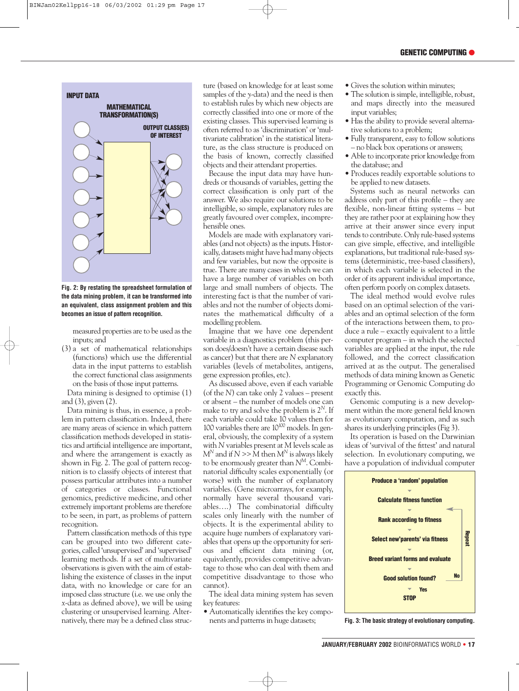### **GENETIC COMPUTING** ●



**Fig. 2: By restating the spreadsheet formulation of the data mining problem, it can be transformed into an equivalent, class assignment problem and this becomes an issue of pattern recognition.**

measured properties are to be used as the inputs; and

(3) a set of mathematical relationships (functions) which use the differential data in the input patterns to establish the correct functional class assignments on the basis of those input patterns.

Data mining is designed to optimise (1) and (3), given (2).

Data mining is thus, in essence, a problem in pattern classification. Indeed, there are many areas of science in which pattern classification methods developed in statistics and artificial intelligence are important, and where the arrangement is exactly as shown in Fig. 2. The goal of pattern recognition is to classify objects of interest that possess particular attributes into a number of categories or classes. Functional genomics, predictive medicine, and other extremely important problems are therefore to be seen, in part, as problems of pattern recognition.

Pattern classification methods of this type can be grouped into two different categories, called 'unsupervised' and 'supervised' learning methods. If a set of multivariate observations is given with the aim of establishing the existence of classes in the input data, with no knowledge or care for an imposed class structure (i.e. we use only the *x*-data as defined above), we will be using clustering or unsupervised learning. Alternatively, there may be a defined class structure (based on knowledge for at least some samples of the *y*-data) and the need is then to establish rules by which new objects are correctly classified into one or more of the existing classes. This supervised learning is often referred to as 'discrimination' or 'multivariate calibration' in the statistical literature, as the class structure is produced on the basis of known, correctly classified objects and their attendant properties.

Because the input data may have hundreds or thousands of variables, getting the correct classification is only part of the answer. We also require our solutions to be intelligible, so simple, explanatory rules are greatly favoured over complex, incomprehensible ones.

Models are made with explanatory variables (and not objects) as the inputs. Historically, datasets might have had many objects and few variables, but now the opposite is true. There are many cases in which we can have a large number of variables on both large and small numbers of objects. The interesting fact is that the number of variables and not the number of objects dominates the mathematical difficulty of a modelling problem.

Imagine that we have one dependent variable in a diagnostics problem (this person does/doesn't have a certain disease such as cancer) but that there are *N* explanatory variables (levels of metabolites, antigens, gene expression profiles, etc).

As discussed above, even if each variable (of the *N*) can take only 2 values – present or absent – the number of models one can make to try and solve the problem is 2*<sup>N</sup>*. If each variable could take 10 values then for 100 variables there are  $10^{100}$  models. In general, obviously, the complexity of a system with *N* variables present at *M* levels scale as  $M^N$  and if  $N \gg M$  then  $M^N$  is always likely to be enormously greater than *NM*. Combinatorial difficulty scales exponentially (or worse) with the number of explanatory variables. (Gene microarrays, for examply, normally have several thousand variables….) The combinatorial difficulty scales only linearly with the number of objects. It is the experimental ability to acquire huge numbers of explanatory variables that opens up the opportunity for serious and efficient data mining (or, equivalently, provides competitive advantage to those who can deal with them and competitive disadvantage to those who cannot).

The ideal data mining system has seven key features:

• Automatically identifies the key components and patterns in huge datasets;

- Gives the solution within minutes;
- The solution is simple, intelligible, robust, and maps directly into the measured input variables;
- Has the ability to provide several alternative solutions to a problem;
- Fully transparent, easy to follow solutions – no black box operations or answers;
- Able to incorporate prior knowledge from the database; and
- Produces readily exportable solutions to be applied to new datasets.

Systems such as neural networks can address only part of this profile – they are flexible, non-linear fitting systems – but they are rather poor at explaining how they arrive at their answer since every input tends to contribute. Only rule-based systems can give simple, effective, and intelligible explanations, but traditional rule-based systems (deterministic, tree-based classifiers), in which each variable is selected in the order of its apparent individual importance, often perform poorly on complex datasets.

The ideal method would evolve rules based on an optimal selection of the variables and an optimal selection of the form of the interactions between them, to produce a rule – exactly equivalent to a little computer program – in which the selected variables are applied at the input, the rule followed, and the correct classification arrived at as the output. The generalised methods of data mining known as Genetic Programming or Genomic Computing do exactly this.

Genomic computing is a new development within the more general field known as evolutionary computation, and as such shares its underlying principles (Fig 3).

Its operation is based on the Darwinian ideas of 'survival of the fittest' and natural selection. In evolutionary computing, we have a population of individual computer



**Fig. 3: The basic strategy of evolutionary computing.**